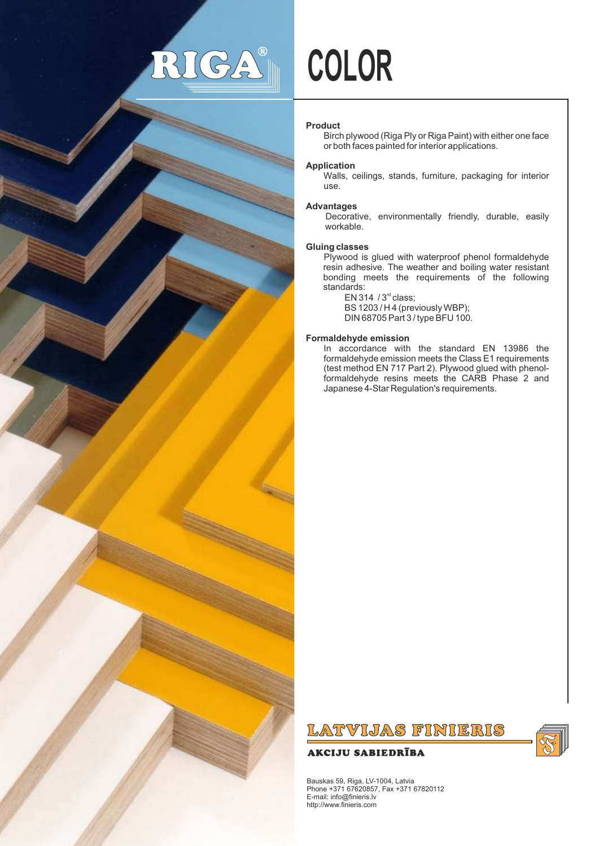# RI (G  $\sqrt{\frac{4}{\Omega}}$



# **Product**

Birch plywood (Riga Ply or Riga Paint) with either one face or both faces painted for interior applications.

## **Application**

Walls, ceilings, stands, furniture, packaging for interior use*.*

#### **Advantages**

Decorative, environmentally friendly, durable, easily workable.

#### **Gluing classes**

Plywood is glued with waterproof phenol formaldehyde resin adhesive. The weather and boiling water resistant bonding meets the requirements of the following standards:

EN 314  $/3<sup>rd</sup>$  class; BS 1203 / H 4 (previously WBP); DIN 68705 Part 3 / type BFU 100.

#### **Formaldehyde emission**

In accordance with the standard EN 13986 the formaldehyde emission meets the Class E1 requirements (test method EN 717 Part 2). Plywood glued with phenolformaldehyde resins meets the CARB Phase 2 and Japanese 4-Star Regulation's requirements.



# **AKCIJU SABIEDRĪBA**



Bauskas 59, Riga, LV-1004, Latvia Phone +371 67620857, Fax +371 67820112 E-mail: info@finieris.lv http://www.finieris.com